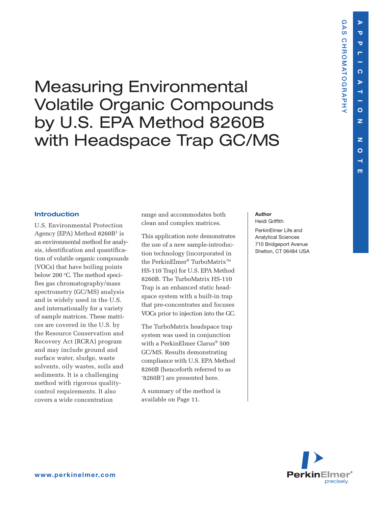**GAS CHROMATOGRAPHY**

**CHROMATOGRAPHY** 

**GAS** 

# Measuring Environmental Volatile Organic Compounds by U.S. EPA Method 8260B with Headspace Trap GC/MS

#### **Introduction**

U.S. Environmental Protection Agency (EPA) Method  $8260B^1$  is an environmental method for analysis, identification and quantification of volatile organic compounds (VOCs) that have boiling points below 200 °C. The method specifies gas chromatography/mass spectrometry (GC/MS) analysis and is widely used in the U.S. and internationally for a variety of sample matrices. These matrices are covered in the U.S. by the Resource Conservation and Recovery Act (RCRA) program and may include ground and surface water, sludge, waste solvents, oily wastes, soils and sediments. It is a challenging method with rigorous qualitycontrol requirements. It also covers a wide concentration

range and accommodates both clean and complex matrices.

This application note demonstrates the use of a new sample-introduction technology (incorporated in the PerkinElmer® TurboMatrix™ HS-110 Trap) for U.S. EPA Method 8260B. The TurboMatrix HS-110 Trap is an enhanced static headspace system with a built-in trap that pre-concentrates and focuses VOCs prior to injection into the GC.

The TurboMatrix headspace trap system was used in conjunction with a PerkinElmer Clarus® 500 GC/MS. Results demonstrating compliance with U.S. EPA Method 8260B (henceforth referred to as '8260B') are presented here.

A summary of the method is available on Page 11.

#### **Author**

Heidi Griffith

PerkinElmer Life and Analytical Sciences 710 Bridgeport Avenue Shelton, CT 06484 USA

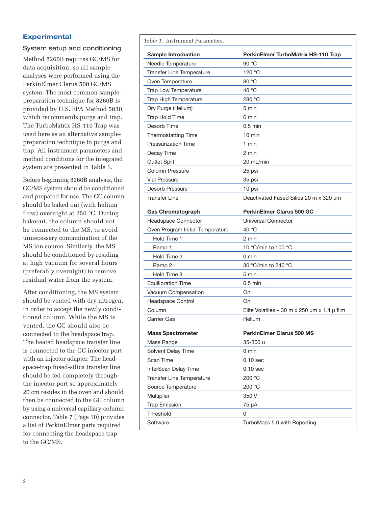### **Experimental**

#### System setup and conditioning

Method 8260B requires GC/MS for data acquisition, so all sample analyses were performed using the PerkinElmer Clarus 500 GC/MS system. The most common samplepreparation technique for 8260B is provided by U.S. EPA Method 5030, which recommends purge and trap. The TurboMatrix HS-110 Trap was used here as an alternative samplepreparation technique to purge and trap. All instrument parameters and method conditions for the integrated system are presented in Table 1.

Before beginning 8260B analysis, the GC/MS system should be conditioned and prepared for use. The GC column should be baked out (with helium flow) overnight at 250 °C. During bakeout, the column should not be connected to the MS, to avoid unnecessary contamination of the MS ion source. Similarly, the MS should be conditioned by residing at high vacuum for several hours (preferably overnight) to remove residual water from the system.

After conditioning, the MS system should be vented with dry nitrogen, in order to accept the newly conditioned column. While the MS is vented, the GC should also be connected to the headspace trap. The heated headspace transfer line is connected to the GC injector port with an injector adapter. The headspace-trap fused-silica transfer line should be fed completely through the injector port so approximately 20 cm resides in the oven and should then be connected to the GC column by using a universal capillary-column connector. Table 7 (Page 10) provides a list of PerkinElmer parts required for connecting the headspace trap to the GC/MS.

*Table 1*. Instrument Parameters.

| <b>Sample Introduction</b>       | <b>PerkinElmer TurboMatrix HS-110 Trap</b>            |
|----------------------------------|-------------------------------------------------------|
| Needle Temperature               | 90 °C                                                 |
| Transfer Line Temperature        | 120 $\degree$ C                                       |
| Oven Temperature                 | 80 °C                                                 |
| Trap Low Temperature             | 40 $^{\circ}$ C                                       |
| Trap High Temperature            | 280 °C                                                |
| Dry Purge (Helium)               | 5 min                                                 |
| Trap Hold Time                   | 6 min                                                 |
| Desorb Time                      | $0.5$ min                                             |
| <b>Thermostatting Time</b>       | $10 \text{ min}$                                      |
| <b>Pressurization Time</b>       | 1 min                                                 |
| Decay Time                       | 2 min                                                 |
| <b>Outlet Split</b>              | 20 mL/min                                             |
| Column Pressure                  | 25 psi                                                |
| <b>Vial Pressure</b>             | 35 psi                                                |
| Desorb Pressure                  | 10 psi                                                |
| <b>Transfer Line</b>             | Deactivated Fused Silica 20 m x 320 um                |
|                                  |                                                       |
| <b>Gas Chromatograph</b>         | <b>PerkinElmer Clarus 500 GC</b>                      |
| Headspace Connector              | Universal Connector                                   |
| Oven Program Initial Temperature | 40 $^{\circ}$ C                                       |
| Hold Time 1                      | 2 min                                                 |
| Ramp 1                           | 10 °C/min to 100 °C                                   |
| Hold Time 2                      | 0 min                                                 |
| Ramp 2                           | 30 °C/min to 240 °C                                   |
| Hold Time 3                      | 5 min                                                 |
| <b>Equilibration Time</b>        | $0.5$ min                                             |
| Vacuum Compensation              | On                                                    |
| Headspace Control                | On                                                    |
| Column                           | Elite Volatiles – 30 m x 250 $\mu$ m x 1.4 $\mu$ film |
| Carrier Gas                      | Helium                                                |
| <b>Mass Spectrometer</b>         | PerkinElmer Clarus 500 MS                             |
| Mass Range                       | 35-300 u                                              |
| Solvent Delay Time               | $0 \text{ min}$                                       |
| Scan Time                        | $0.10$ sec                                            |
| InterScan Delay Time             | $0.10$ sec                                            |
| Transfer Line Temperature        | 200 °C                                                |
| Source Temperature               | 200 °C                                                |
| Multiplier                       | 350 V                                                 |
| <b>Trap Emission</b>             | 75 µA                                                 |
| Threshold                        | 0                                                     |
| Software                         | TurboMass 5.0 with Reporting                          |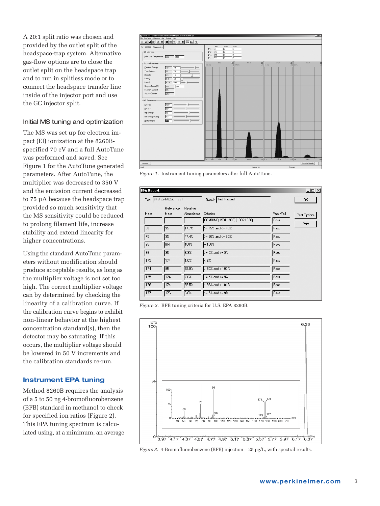A 20:1 split ratio was chosen and provided by the outlet split of the headspace-trap system. Alternative gas-flow options are to close the outlet split on the headspace trap and to run in splitless mode or to connect the headspace transfer line inside of the injector port and use the GC injector split.

#### Initial MS tuning and optimization

The MS was set up for electron impact (EI) ionization at the 8260Bspecified 70 eV and a full AutoTune was performed and saved. See Figure 1 for the AutoTune generated parameters. After AutoTune, the multiplier was decreased to 350 V and the emission current decreased to 75 µA because the headspace trap provided so much sensitivity that the MS sensitivity could be reduced to prolong filament life, increase stability and extend linearity for higher concentrations.

Using the standard AutoTune parameters without modification should produce acceptable results, as long as the multiplier voltage is not set too high. The correct multiplier voltage can by determined by checking the linearity of a calibration curve. If the calibration curve begins to exhibit non-linear behavior at the highest concentration standard(s), then the detector may be saturating. If this occurs, the multiplier voltage should be lowered in 50 V increments and the calibration standards re-run.

### **Instrument EPA tuning**

Method 8260B requires the analysis of a 5 to 50 ng 4-bromofluorobenzene (BFB) standard in methanol to check for specified ion ratios (Figure 2). This EPA tuning spectrum is calculated using, at a minimum, an average



*Figure 1.* Instrument tuning parameters after full AutoTune.

| <b>EPA Report</b> |                        |                       |                                             |                   | 그미지                    |
|-------------------|------------------------|-----------------------|---------------------------------------------|-------------------|------------------------|
|                   | Test BFB 624/8260 TEST |                       | Result Test Passed                          |                   | 0K                     |
| Mass              | Reference<br>Mass      | Relative<br>Abundance | Criterion<br>COMBINE(1931:1936)-(1886:1920) | Pass/Fail<br>Pass | Print Options<br>Print |
| 50                | 95                     | 17.7%                 | $>$ = 15% and <= 40%                        | Pass              |                        |
| 75                | 95                     | 47.4%                 | $>= 30\%$ and $<= 60\%$                     | Pass              |                        |
| 95                | BPI                    | 100%                  | $=100%$                                     | Pass              |                        |
| 96                | 95                     | 6.9%                  | $>$ = 5% and <= 9%                          | Pass              |                        |
| 173               | 174                    | 1.0%                  | < 2%                                        | Pass              |                        |
| 174               | 95                     | 83.9%                 | $> 50\%$ and $< 100\%$                      | Pass              |                        |
| 175               | 174                    | 7.0%                  | $> = 5\%$ and $<= 9\%$                      | Pass              |                        |
| 176               | 174                    | 97.5%                 | $> 95\%$ and < $101\%$                      | Pass              |                        |
| 177               | 176                    | 6.6%                  | $> = 5\%$ and $<= 9\%$                      | Pass              |                        |

*Figure 2.* BFB tuning criteria for U.S. EPA 8260B.



*Figure 3.* 4-Bromofluorobenzene (BFB) injection – 25 µg/L, with spectral results.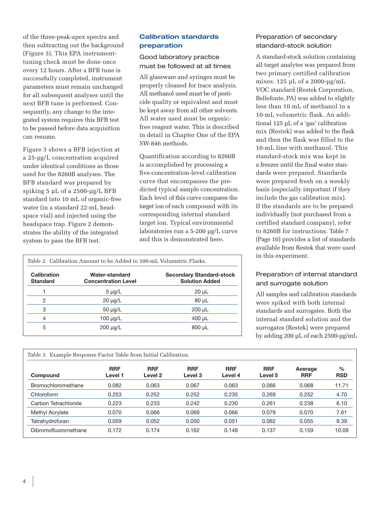of the three-peak-apex spectra and then subtracting out the background (Figure 3). This EPA instrumenttuning check must be done once every 12 hours. After a BFB tune is successfully completed, instrument parameters must remain unchanged for all subsequent analyses until the next BFB tune is performed. Consequently, any change to the integrated system requires this BFB test to be passed before data acquisition can resume.

Figure 3 shows a BFB injection at a 25-µg/L concentration acquired under identical conditions as those used for the 8260B analyses. The BFB standard was prepared by spiking 5 µL of a 2500-µg/L BFB standard into 10 mL of organic-free water (in a standard 22-mL headspace vial) and injected using the headspace trap. Figure 2 demonstrates the ability of the integrated system to pass the BFB test.

## **Calibration standards preparation**

## Good laboratory practice must be followed at all times

All glassware and syringes must be properly cleaned for trace analysis. All methanol used must be of pesticide quality or equivalent and must be kept away from all other solvents. All water used must be organicfree reagent water. This is described in detail in Chapter One of the EPA SW-846 methods.

Quantification according to 8260B is accomplished by processing a five-concentration-level calibration curve that encompasses the predicted typical sample concentration. Each level of this curve compares the target ion of each compound with its corresponding internal standard target ion. Typical environmental laboratories run a 5-200 µg/L curve and this is demonstrated here.

| <i>Table 2.</i> Calibration Amount to be Added to 100-mL Volumetric Flasks. |                                              |                                                          |  |  |  |
|-----------------------------------------------------------------------------|----------------------------------------------|----------------------------------------------------------|--|--|--|
| <b>Calibration</b><br><b>Standard</b>                                       | Water-standard<br><b>Concentration Level</b> | <b>Secondary Standard-stock</b><br><b>Solution Added</b> |  |  |  |
|                                                                             | $5 \mu g/L$                                  | $20 \mu L$                                               |  |  |  |
| 2                                                                           | $20 \mu g/L$                                 | $80 \mu L$                                               |  |  |  |
| 3                                                                           | $50 \mu g/L$                                 | $200 \mu L$                                              |  |  |  |
| 4                                                                           | $100 \mu g/L$                                | $400 \mu L$                                              |  |  |  |
| 5                                                                           | $200 \mu g/L$                                | $800 \mu L$                                              |  |  |  |

## Preparation of secondary standard-stock solution

A standard-stock solution containing all target analytes was prepared from two primary certified calibration mixes. 125 µL of a 2000-µg/mL VOC standard (Restek Corporation, Bellefonte, PA) was added to slightly less than 10 mL of methanol in a 10-mL volumetric flask. An additional 125 µL of a 'gas' calibration mix (Restek) was added to the flask and then the flask was filled to the 10-mL line with methanol. This standard-stock mix was kept in a freezer until the final water standards were prepared. Standards were prepared fresh on a weekly basis (especially important if they include the gas calibration mix). If the standards are to be prepared individually (not purchased from a certified standard company), refer to 8260B for instructions. Table 7 (Page 10) provides a list of standards available from Restek that were used in this experiment.

## Preparation of internal standard and surrogate solution

All samples and calibration standards were spiked with both internal standards and surrogates. Both the internal standard solution and the surrogates (Restek) were prepared by adding 200 µL of each 2500-µg/mL

| Compound             | <b>RRF</b><br>Level 1 | <b>RRF</b><br>Level <sub>2</sub> | <b>RRF</b><br>Level 3 | <b>RRF</b><br>Level 4 | <b>RRF</b><br>Level 5 | Average<br><b>RRF</b> | $\frac{0}{0}$<br><b>RSD</b> |
|----------------------|-----------------------|----------------------------------|-----------------------|-----------------------|-----------------------|-----------------------|-----------------------------|
| Bromochloromethane   | 0.082                 | 0.063                            | 0.067                 | 0.063                 | 0.066                 | 0.068                 | 11.71                       |
| Chloroform           | 0.253                 | 0.252                            | 0.252                 | 0.235                 | 0.269                 | 0.252                 | 4.70                        |
| Carbon Tetrachloride | 0.223                 | 0.233                            | 0.242                 | 0.230                 | 0.261                 | 0.238                 | 6.10                        |
| Methyl Acrylate      | 0.070                 | 0.066                            | 0.069                 | 0.066                 | 0.079                 | 0.070                 | 7.61                        |
| Tetrahydrofuran      | 0.059                 | 0.052                            | 0.050                 | 0.051                 | 0.062                 | 0.055                 | 9.39                        |
| Dibromofluoromethane | 0.172                 | 0.174                            | 0.162                 | 0.148                 | 0.137                 | 0.159                 | 10.09                       |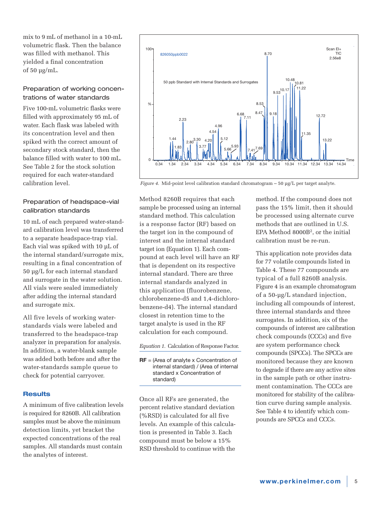mix to 9 mL of methanol in a 10-mL volumetric flask. Then the balance was filled with methanol. This yielded a final concentration of 50 µg/mL.

## Preparation of working concentrations of water standards

Five 100-mL volumetric flasks were filled with approximately 95 mL of water. Each flask was labeled with its concentration level and then spiked with the correct amount of secondary stock standard, then the balance filled with water to 100 mL. See Table 2 for the stock solution required for each water-standard calibration level.

## Preparation of headspace-vial calibration standards

10 mL of each prepared water-standard calibration level was transferred to a separate headspace-trap vial. Each vial was spiked with 10 µL of the internal standard/surrogate mix, resulting in a final concentration of 50 µg/L for each internal standard and surrogate in the water solution. All vials were sealed immediately after adding the internal standard and surrogate mix.

All five levels of working waterstandards vials were labeled and transferred to the headspace-trap analyzer in preparation for analysis. In addition, a water-blank sample was added both before and after the water-standards sample queue to check for potential carryover.

### **Results**

A minimum of five calibration levels is required for 8260B. All calibration samples must be above the minimum detection limits, yet bracket the expected concentrations of the real samples. All standards must contain the analytes of interest.



*Figure 4.* Mid-point level calibration standard chromatogram – 50 µg/L per target analyte.

Method 8260B requires that each sample be processed using an internal standard method. This calculation is a response factor (RF) based on the target ion in the compound of interest and the internal standard target ion (Equation 1). Each compound at each level will have an RF that is dependent on its respective internal standard. There are three internal standards analyzed in this application (fluorobenzene, chlorobenzene-d5 and 1,4-dichlorobenzene-d4). The internal standard closest in retention time to the target analyte is used in the RF calculation for each compound.

*Equation 1.* Calculation of Response Factor.

**RF** = (Area of analyte x Concentration of internal standard) / (Area of internal standard x Concentration of standard)

Once all RFs are generated, the percent relative standard deviation (%RSD) is calculated for all five levels. An example of this calculation is presented in Table 3. Each compound must be below a 15% RSD threshold to continue with the

method. If the compound does not pass the 15% limit, then it should be processed using alternate curve methods that are outlined in U.S. EPA Method 8000B2, or the initial calibration must be re-run.

This application note provides data for 77 volatile compounds listed in Table 4. These 77 compounds are typical of a full 8260B analysis. Figure 4 is an example chromatogram of a 50-µg/L standard injection, including all compounds of interest, three internal standards and three surrogates. In addition, six of the compounds of interest are calibration check compounds (CCCs) and five are system performance check compounds (SPCCs). The SPCCs are monitored because they are known to degrade if there are any active sites in the sample path or other instrument contamination. The CCCs are monitored for stability of the calibration curve during sample analysis. See Table 4 to identify which compounds are SPCCs and CCCs.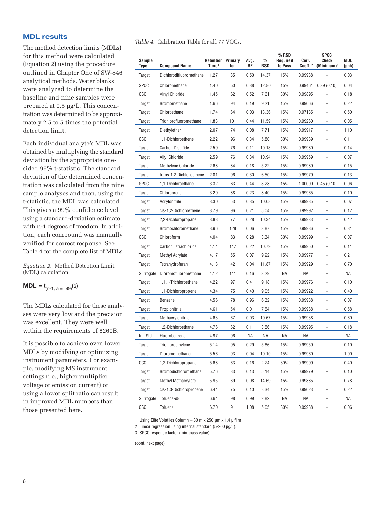#### **MDL results**

The method detection limits (MDLs) for this method were calculated (Equation 2) using the procedure outlined in Chapter One of SW-846 analytical methods. Water blanks were analyzed to determine the baseline and nine samples were prepared at 0.5 µg/L. This concentration was determined to be approximately 2.5 to 5 times the potential detection limit.

Each individual analyte's MDL was obtained by multiplying the standard deviation by the appropriate onesided 99% t-statistic. The standard deviation of the determined concentration was calculated from the nine sample analyses and then, using the t-statistic, the MDL was calculated. This gives a 99% confidence level using a standard-deviation estimate with n-1 degrees of freedom. In addition, each compound was manually verified for correct response. See Table 4 for the complete list of MDLs.

*Equation 2*. Method Detection Limit (MDL) calculation.

## **MDL** =  $t_{(n-1, a = .99)}(s)$

The MDLs calculated for these analyses were very low and the precision was excellent. They were well within the requirements of 8260B.

It is possible to achieve even lower MDLs by modifying or optimizing instrument parameters. For example, modifying MS instrument settings (i.e., higher multiplier voltage or emission current) or using a lower split ratio can result in improved MDL numbers than those presented here.

|  | <i>Table 4.</i> Calibration Table for all 77 VOCs. |  |  |  |  |  |
|--|----------------------------------------------------|--|--|--|--|--|
|--|----------------------------------------------------|--|--|--|--|--|

| Sample<br>Type | <b>Compound Name</b>      | <b>Retention Primary</b><br>Time <sup>1</sup> | lon | Avg.<br>RF | $\%$<br>RSD | $%$ RSD<br>Required<br>to Pass | Corr.<br>Coeff. 2 | <b>SPCC</b><br>Check<br>$(Minimum)^3$ | MDL<br>(ppb) |
|----------------|---------------------------|-----------------------------------------------|-----|------------|-------------|--------------------------------|-------------------|---------------------------------------|--------------|
| Target         | Dichlorodifluoromethane   | 1.27                                          | 85  | 0.50       | 14.37       | 15%                            | 0.99988           |                                       | 0.03         |
| <b>SPCC</b>    | Chloromethane             | 1.40                                          | 50  | 0.38       | 12.80       | 15%                            | 0.99461           | 0.39(0.10)                            | 0.04         |
| CCC            | <b>Vinyl Chloride</b>     | 1.45                                          | 62  | 0.52       | 7.61        | 30%                            | 0.99895           |                                       | 0.18         |
| Target         | Bromomethane              | 1.66                                          | 94  | 0.19       | 9.21        | 15%                            | 0.99666           | $\qquad \qquad -$                     | 0.22         |
| Target         | Chloroethane              | 1.74                                          | 64  | 0.03       | 13.36       | 15%                            | 0.97185           | $\qquad \qquad -$                     | 0.50         |
| Target         | Trichlorofluoromethane    | 1.83                                          | 101 | 0.44       | 11.59       | 15%                            | 0.99260           |                                       | 0.05         |
| Target         | Diethylether              | 2.07                                          | 74  | 0.08       | 7.71        | 15%                            | 0.99917           | $\qquad \qquad -$                     | 1.10         |
| CCC            | 1.1-Dichloroethene        | 2.22                                          | 96  | 0.34       | 5.80        | 30%                            | 0.99989           | $\qquad \qquad -$                     | 0.11         |
| Target         | <b>Carbon Disulfide</b>   | 2.59                                          | 76  | 0.11       | 10.13       | 15%                            | 0.99980           |                                       | 0.14         |
| Target         | <b>Allyl Chloride</b>     | 2.59                                          | 76  | 0.34       | 10.94       | 15%                            | 0.99959           | $\overline{\phantom{0}}$              | 0.07         |
| Target         | <b>Methylene Chloride</b> | 2.68                                          | 84  | 0.18       | 5.22        | 15%                            | 0.99989           | $\overline{a}$                        | 0.15         |
| Target         | trans-1,2-Dichloroethene  | 2.81                                          | 96  | 0.30       | 6.50        | 15%                            | 0.99979           |                                       | 0.13         |
| <b>SPCC</b>    | 1,1-Dichloroethane        | 3.32                                          | 63  | 0.44       | 3.28        | 15%                            | 1.00000           | 0.45(0.10)                            | 0.06         |
| Target         | Chloroprene               | 3.29                                          | 88  | 0.23       | 8.40        | 15%                            | 0.99965           |                                       | 0.10         |
| Target         | Acrylonitrile             | 3.30                                          | 53  | 0.35       | 10.08       | 15%                            | 0.99985           |                                       | 0.07         |
| Target         | cis-1,2-Dichloroethene    | 3.79                                          | 96  | 0.21       | 5.04        | 15%                            | 0.99992           | $\overline{\phantom{0}}$              | 0.12         |
| Target         | 2,2-Dichloropropane       | 3.88                                          | 77  | 0.28       | 10.34       | 15%                            | 0.99933           | $\overline{\phantom{0}}$              | 0.42         |
| Target         | <b>Bromochloromethane</b> | 3.96                                          | 128 | 0.06       | 3.87        | 15%                            | 0.99986           |                                       | 0.81         |
| CCC            | Chloroform                | 4.04                                          | 83  | 0.28       | 3.34        | 30%                            | 0.99999           | $\qquad \qquad -$                     | 0.07         |
| Target         | Carbon Tetrachloride      | 4.14                                          | 117 | 0.22       | 10.79       | 15%                            | 0.99950           | $\qquad \qquad -$                     | 0.11         |
| Target         | Methyl Acrylate           | 4.17                                          | 55  | 0.07       | 9.92        | 15%                            | 0.99977           |                                       | 0.21         |
| Target         | Tetrahydrofuran           | 4.18                                          | 42  | 0.04       | 11.87       | 15%                            | 0.99929           | $\overline{\phantom{0}}$              | 0.70         |
| Surrogate      | Dibromofluoromethane      | 4.12                                          | 111 | 0.16       | 3.29        | ΝA                             | ΝA                | $\qquad \qquad -$                     | ΝA           |
| Target         | 1.1.1-Trichloroethane     | 4.22                                          | 97  | 0.41       | 9.18        | 15%                            | 0.99976           |                                       | 0.10         |
| Target         | 1,1-Dichloropropene       | 4.34                                          | 75  | 0.40       | 9.05        | 15%                            | 0.99922           | $\qquad \qquad -$                     | 0.40         |
| Target         | Benzene                   | 4.56                                          | 78  | 0.96       | 6.32        | 15%                            | 0.99988           | $\qquad \qquad -$                     | 0.07         |
| Target         | Propionitrile             | 4.61                                          | 54  | 0.01       | 7.54        | 15%                            | 0.99968           |                                       | 0.58         |
| Target         | Methacrylonitrile         | 4.63                                          | 67  | 0.03       | 10.67       | 15%                            | 0.99938           |                                       | 0.60         |
| Target         | 1.2-Dichloroethane        | 4.76                                          | 62  | 0.11       | 3.56        | 15%                            | 0.99995           | $\overline{\phantom{0}}$              | 0.18         |
| Int. Std.      | Fluorobenzene             | 4.97                                          | 96  | ΝA         | ΝA          | ΝA                             | ΝA                |                                       | ΝA           |
| Target         | Trichloroethylene         | 5.14                                          | 95  | 0.29       | 5.86        | 15%                            | 0.99959           | -                                     | 0.10         |
| Target         | Dibromomethane            | 5.56                                          | 93  | 0.04       | 10.10       | 15%                            | 0.99960           | -                                     | 1.00         |
| CCC            | 1,2-Dichloropropane       | 5.68                                          | 63  | 0.16       | 2.74        | 30%                            | 0.99999           |                                       | 0.40         |
| Target         | Bromodichloromethane      | 5.76                                          | 83  | 0.13       | 5.14        | 15%                            | 0.99979           | $\qquad \qquad -$                     | 0.10         |
| Target         | Methyl Methacrylate       | 5.95                                          | 69  | 0.08       | 14.69       | 15%                            | 0.99885           | $\qquad \qquad -$                     | 0.78         |
| Target         | cis-1,3-Dichloropropene   | 6.44                                          | 75  | 0.10       | 8.34        | 15%                            | 0.99623           | $\overline{\phantom{0}}$              | 0.22         |
| Surrogate      | Toluene-d8                | 6.64                                          | 98  | 0.99       | 2.82        | ΝA                             | ΝA                | $\qquad \qquad -$                     | ΝA           |
| CCC            | Toluene                   | 6.70                                          | 91  | 1.08       | 5.05        | 30%                            | 0.99988           |                                       | 0.06         |

1 Using Elite Volatiles Column – 30 m x 250 µm x 1.4 µ film.

2 Linear regression using internal standard (5-200 µg/L).

3 SPCC response factor (min. pass value).

(cont. next page)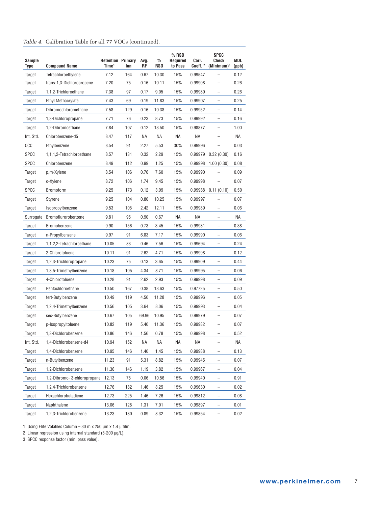#### *Table 4.* Calibration Table for all 77 VOCs (continued).

| Sample<br>Type | <b>Compound Name</b>        | <b>Retention Primary</b><br>Time <sup>1</sup> | lon | Avg.<br>RF | $\frac{0}{0}$<br>RSD | % RSD<br>Required<br>to Pass | Corr.<br>Coeff. 2 | SPCC<br>Check<br>$(Minimum)^3$ | MDL<br>(ppb) |
|----------------|-----------------------------|-----------------------------------------------|-----|------------|----------------------|------------------------------|-------------------|--------------------------------|--------------|
| Target         | Tetrachloroethylene         | 7.12                                          | 164 | 0.67       | 10.30                | 15%                          | 0.99547           |                                | 0.12         |
| Target         | trans-1,3-Dichloropropene   | 7.20                                          | 75  | 0.16       | 10.11                | 15%                          | 0.99908           | $\overline{\phantom{0}}$       | 0.26         |
| Target         | 1,1,2-Trichloroethane       | 7.38                                          | 97  | 0.17       | 9.05                 | 15%                          | 0.99989           | $\qquad \qquad -$              | 0.26         |
| Target         | <b>Ethyl Methacrylate</b>   | 7.43                                          | 69  | 0.19       | 11.83                | 15%                          | 0.99907           |                                | 0.25         |
| Target         | Dibromochloromethane        | 7.58                                          | 129 | 0.16       | 10.38                | 15%                          | 0.99952           | -                              | 0.14         |
| Target         | 1,3-Dichloropropane         | 7.71                                          | 76  | 0.23       | 8.73                 | 15%                          | 0.99992           | $\overline{\phantom{0}}$       | 0.16         |
| Target         | 1,2-Dibromoethane           | 7.84                                          | 107 | 0.12       | 13.50                | 15%                          | 0.98877           |                                | 1.00         |
| Int. Std.      | Chlorobenzene-d5            | 8.47                                          | 117 | ΝA         | ΝA                   | ΝA                           | ΝA                |                                | ΝA           |
| CCC            | Ethylbenzene                | 8.54                                          | 91  | 2.27       | 5.53                 | 30%                          | 0.99996           | $\overline{\phantom{0}}$       | 0.03         |
| <b>SPCC</b>    | 1,1,1,2-Tetrachloroethane   | 8.57                                          | 131 | 0.32       | 2.29                 | 15%                          | 0.99979           | 0.32(0.30)                     | 0.16         |
| <b>SPCC</b>    | Chlorobenzene               | 8.49                                          | 112 | 0.99       | 1.25                 | 15%                          | 0.99998           | 1.00(0.30)                     | 0.08         |
| Target         | p,m-Xylene                  | 8.54                                          | 106 | 0.76       | 7.60                 | 15%                          | 0.99990           |                                | 0.09         |
| Target         | o-Xylene                    | 8.72                                          | 106 | 1.74       | 9.45                 | 15%                          | 0.99998           |                                | 0.07         |
| <b>SPCC</b>    | <b>Bromoform</b>            | 9.25                                          | 173 | 0.12       | 3.09                 | 15%                          | 0.99988           | 0.11(0.10)                     | 0.50         |
| Target         | Styrene                     | 9.25                                          | 104 | 0.80       | 10.25                | 15%                          | 0.99997           |                                | 0.07         |
| Target         | Isopropylbenzene            | 9.53                                          | 105 | 2.42       | 12.11                | 15%                          | 0.99989           |                                | 0.06         |
| Surrogate      | Bromoflurorobenzene         | 9.81                                          | 95  | 0.90       | 0.67                 | ΝA                           | ΝA                |                                | ΝA           |
| Target         | Bromobenzene                | 9.90                                          | 156 | 0.73       | 3.45                 | 15%                          | 0.99981           | $\overline{\phantom{0}}$       | 0.38         |
| Target         | n-Propylbenzene             | 9.97                                          | 91  | 6.83       | 7.17                 | 15%                          | 0.99990           |                                | 0.06         |
| Target         | 1,1,2,2-Tetrachloroethane   | 10.05                                         | 83  | 0.46       | 7.56                 | 15%                          | 0.99694           | $\overline{\phantom{0}}$       | 0.24         |
| Target         | 2-Chlorotoluene             | 10.11                                         | 91  | 2.62       | 4.71                 | 15%                          | 0.99998           | $\overline{\phantom{0}}$       | 0.12         |
| Target         | 1,2,3-Trichloropropane      | 10.23                                         | 75  | 0.13       | 3.65                 | 15%                          | 0.99909           |                                | 0.44         |
| Target         | 1,3,5-Trimethylbenzene      | 10.18                                         | 105 | 4.34       | 8.71                 | 15%                          | 0.99995           | $\overline{\phantom{0}}$       | 0.06         |
| Target         | 4-Chlorotoluene             | 10.28                                         | 91  | 2.62       | 2.93                 | 15%                          | 0.99998           | $\overline{a}$                 | 0.09         |
| Target         | Pentachloroethane           | 10.50                                         | 167 | 0.38       | 13.63                | 15%                          | 0.97725           |                                | 0.50         |
| Target         | tert-Butylbenzene           | 10.49                                         | 119 | 4.50       | 11.28                | 15%                          | 0.99996           | $\overline{\phantom{0}}$       | 0.05         |
| Target         | 1,2,4-Trimethylbenzene      | 10.56                                         | 105 | 3.64       | 8.06                 | 15%                          | 0.99993           | $\overline{a}$                 | 0.04         |
| Target         | sec-Butylbenzene            | 10.67                                         | 105 | 69.96      | 10.95                | 15%                          | 0.99979           |                                | 0.07         |
| Target         | p-Isopropyltoluene          | 10.82                                         | 119 | 5.40       | 11.36                | 15%                          | 0.99982           |                                | 0.07         |
| Target         | 1,3-Dichlorobenzene         | 10.86                                         | 146 | 1.56       | 0.78                 | 15%                          | 0.99998           |                                | 0.52         |
| Int. Std.      | 1,4-Dichlorobenzene-d4      | 10.94                                         | 152 | ΝA         | ΝA                   | ΝA                           | ΝA                |                                | ΝA           |
| Target         | 1,4-Dichlorobenzene         | 10.95                                         | 146 | 1.40       | 1.45                 | 15%                          | 0.99988           | -                              | 0.13         |
| Target         | n-Butylbenzene              | 11.23                                         | 91  | 5.31       | 8.82                 | 15%                          | 0.99945           | -                              | 0.07         |
| Target         | 1,2-Dichlorobenzene         | 11.36                                         | 146 | 1.19       | 3.82                 | 15%                          | 0.99967           |                                | 0.04         |
| Target         | 1,2-Dibromo-3-chloropropane | 12.13                                         | 75  | 0.06       | 10.56                | 15%                          | 0.99940           | -                              | 0.91         |
| Target         | 1,2,4-Trichlorobenzene      | 12.76                                         | 182 | 1.46       | 8.25                 | 15%                          | 0.99630           | -                              | 0.02         |
| Target         | Hexachlorobutadiene         | 12.73                                         | 225 | 1.46       | 7.26                 | 15%                          | 0.99812           |                                | 0.08         |
| Target         | Naphthalene                 | 13.06                                         | 128 | 1.31       | 7.01                 | 15%                          | 0.99897           | $\overline{\phantom{0}}$       | 0.01         |
| Target         | 1,2,3-Trichlorobenzene      | 13.23                                         | 180 | 0.89       | 8.32                 | 15%                          | 0.99854           | $\qquad \qquad -$              | 0.02         |

1 Using Elite Volatiles Column – 30 m x 250 µm x 1.4 µ film.

2 Linear regression using internal standard (5-200 µg/L).

3 SPCC response factor (min. pass value).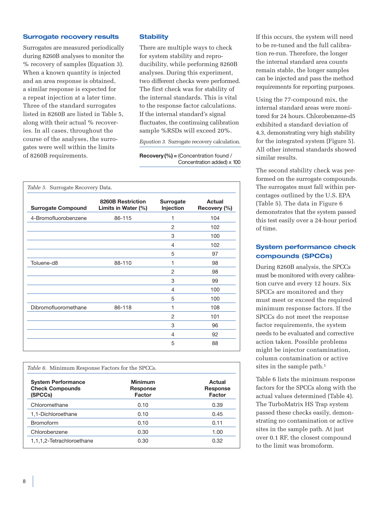#### **Surrogate recovery results**

Surrogates are measured periodically during 8260B analyses to monitor the % recovery of samples (Equation 3). When a known quantity is injected and an area response is obtained, a similar response is expected for a repeat injection at a later time. Three of the standard surrogates listed in 8260B are listed in Table 5, along with their actual % recoveries. In all cases, throughout the course of the analyses, the surrogates were well within the limits of 8260B requirements.

#### **Stability**

There are multiple ways to check for system stability and reproducibility, while performing 8260B analyses. During this experiment, two different checks were performed. The first check was for stability of the internal standards. This is vital to the response factor calculations. If the internal standard's signal fluctuates, the continuing calibration sample %RSDs will exceed 20%.

*Equation 3.* Surrogate recovery calculation.

**Recovery(%) =** (Concentration found / Concentration added) x 100

| Table 5. Surrogate Recovery Data. |                                          |                               |                        |  |
|-----------------------------------|------------------------------------------|-------------------------------|------------------------|--|
| <b>Surrogate Compound</b>         | 8260B Restriction<br>Limits in Water (%) | <b>Surrogate</b><br>Injection | Actual<br>Recovery (%) |  |
| 4-Bromofluorobenzene              | 86-115                                   | 1                             | 104                    |  |
|                                   |                                          | 2                             | 102                    |  |
|                                   |                                          | 3                             | 100                    |  |
|                                   |                                          | 4                             | 102                    |  |
|                                   |                                          | 5                             | 97                     |  |
| Toluene-d8                        | 88-110                                   | 1                             | 98                     |  |
|                                   |                                          | 2                             | 98                     |  |
|                                   |                                          | 3                             | 99                     |  |
|                                   |                                          | 4                             | 100                    |  |
|                                   |                                          | 5                             | 100                    |  |
| Dibromofluoromethane              | 86-118                                   | 1                             | 108                    |  |
|                                   |                                          | 2                             | 101                    |  |
|                                   |                                          | 3                             | 96                     |  |
|                                   |                                          | 4                             | 92                     |  |
|                                   |                                          | 5                             | 88                     |  |

| <i>Table 6.</i> Minimum Response Factors for the SPCCs.        |                                             |                                     |  |  |
|----------------------------------------------------------------|---------------------------------------------|-------------------------------------|--|--|
| <b>System Performance</b><br><b>Check Compounds</b><br>(SPCCs) | <b>Minimum</b><br>Response<br><b>Factor</b> | Actual<br>Response<br><b>Factor</b> |  |  |
| Chloromethane                                                  | 0.10                                        | 0.39                                |  |  |
| 1,1-Dichloroethane                                             | 0.10                                        | 0.45                                |  |  |
| Bromoform                                                      | 0.10                                        | 0.11                                |  |  |
| Chlorobenzene                                                  | 0.30                                        | 1.00                                |  |  |
| 1,1,1,2-Tetrachloroethane                                      | 0.30                                        | 0.32                                |  |  |

If this occurs, the system will need to be re-tuned and the full calibration re-run. Therefore, the longer the internal standard area counts remain stable, the longer samples can be injected and pass the method requirements for reporting purposes.

Using the 77-compound mix, the internal standard areas were monitored for 24 hours. Chlorobenzene-d5 exhibited a standard deviation of 4.3, demonstrating very high stability for the integrated system (Figure 5). All other internal standards showed similar results.

The second stability check was performed on the surrogate compounds. The surrogates must fall within percentages outlined by the U.S. EPA (Table 5). The data in Figure 6 demonstrates that the system passed this test easily over a 24-hour period of time.

## **System performance check compounds (SPCCs)**

During 8260B analysis, the SPCCs must be monitored with every calibration curve and every 12 hours. Six SPCCs are monitored and they must meet or exceed the required minimum response factors. If the SPCCs do not meet the response factor requirements, the system needs to be evaluated and corrective action taken. Possible problems might be injector contamination, column contamination or active sites in the sample path.<sup>1</sup>

Table 6 lists the minimum response factors for the SPCCs along with the actual values determined (Table 4). The TurboMatrix HS Trap system passed these checks easily, demonstrating no contamination or active sites in the sample path. At just over 0.1 RF, the closest compound to the limit was bromoform.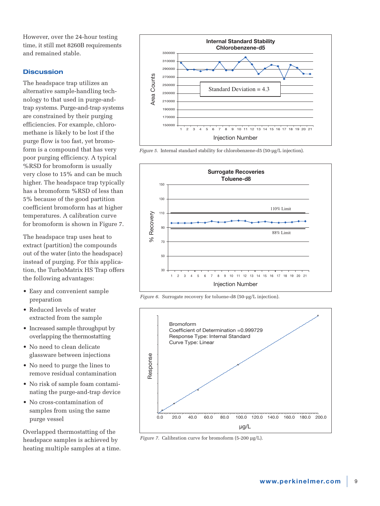However, over the 24-hour testing time, it still met 8260B requirements and remained stable.

## **Discussion**

The headspace trap utilizes an alternative sample-handling technology to that used in purge-andtrap systems. Purge-and-trap systems are constrained by their purging efficiencies. For example, chloromethane is likely to be lost if the purge flow is too fast, yet bromoform is a compound that has very poor purging efficiency. A typical %RSD for bromoform is usually very close to 15% and can be much higher. The headspace trap typically has a bromoform %RSD of less than 5% because of the good partition coefficient bromoform has at higher temperatures. A calibration curve for bromoform is shown in Figure 7.

The headspace trap uses heat to extract (partition) the compounds out of the water (into the headspace) instead of purging. For this application, the TurboMatrix HS Trap offers the following advantages:

- Easy and convenient sample preparation
- Reduced levels of water extracted from the sample
- Increased sample throughput by overlapping the thermostatting
- No need to clean delicate glassware between injections
- No need to purge the lines to remove residual contamination
- No risk of sample foam contaminating the purge-and-trap device
- No cross-contamination of samples from using the same purge vessel

Overlapped thermostatting of the headspace samples is achieved by heating multiple samples at a time.







*Figure 6.* Surrogate recovery for toluene-d8 (50-µg/L injection).

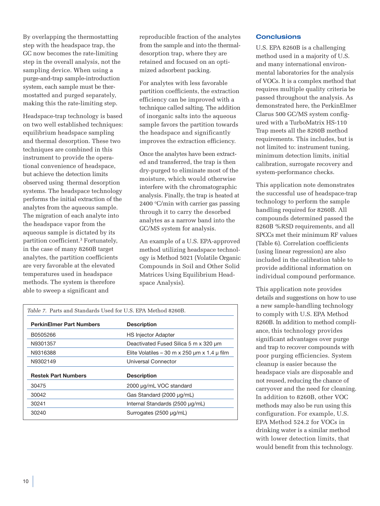By overlapping the thermostatting step with the headspace trap, the GC now becomes the rate-limiting step in the overall analysis, not the sampling device. When using a purge-and-trap sample-introduction system, each sample must be thermostatted and purged separately, making this the rate-limiting step.

Headspace-trap technology is based on two well established techniques: equilibrium headspace sampling and thermal desorption. These two techniques are combined in this instrument to provide the operational convenience of headspace, but achieve the detection limits observed using thermal desorption systems. The headspace technology performs the initial extraction of the analytes from the aqueous sample. The migration of each analyte into the headspace vapor from the aqueous sample is dictated by its partition coefficient.3 Fortunately, in the case of many 8260B target analytes, the partition coefficients are very favorable at the elevated temperatures used in headspace methods. The system is therefore able to sweep a significant and

reproducible fraction of the analytes from the sample and into the thermaldesorption trap, where they are retained and focused on an optimized adsorbent packing.

For analytes with less favorable partition coefficients, the extraction efficiency can be improved with a technique called salting. The addition of inorganic salts into the aqueous sample favors the partition towards the headspace and significantly improves the extraction efficiency.

Once the analytes have been extracted and transferred, the trap is then dry-purged to eliminate most of the moisture, which would otherwise interfere with the chromatographic analysis. Finally, the trap is heated at 2400 °C/min with carrier gas passing through it to carry the desorbed analytes as a narrow band into the GC/MS system for analysis.

An example of a U.S. EPA-approved method utilizing headspace technology is Method 5021 (Volatile Organic Compounds in Soil and Other Solid Matrices Using Equilibrium Headspace Analysis).

| <i>Table 7.</i> Parts and Standards Used for U.S. EPA Method 8260B. |                                                       |  |  |
|---------------------------------------------------------------------|-------------------------------------------------------|--|--|
| <b>PerkinElmer Part Numbers</b>                                     | <b>Description</b>                                    |  |  |
| B0505266                                                            | <b>HS Injector Adapter</b>                            |  |  |
| N9301357                                                            | Deactivated Fused Silica 5 m x 320 um                 |  |  |
| N9316388                                                            | Elite Volatiles – 30 m x 250 $\mu$ m x 1.4 $\mu$ film |  |  |
| N9302149                                                            | Universal Connector                                   |  |  |
| <b>Restek Part Numbers</b>                                          | <b>Description</b>                                    |  |  |
| 30475                                                               | 2000 µg/mL VOC standard                               |  |  |
| 30042                                                               | Gas Standard (2000 µg/mL)                             |  |  |
| 30241                                                               | Internal Standards (2500 µg/mL)                       |  |  |
| 30240                                                               | Surrogates (2500 µg/mL)                               |  |  |

## **Conclusions**

U.S. EPA 8260B is a challenging method used in a majority of U.S. and many international environmental laboratories for the analysis of VOCs. It is a complex method that requires multiple quality criteria be passed throughout the analysis. As demonstrated here, the PerkinElmer Clarus 500 GC/MS system configured with a TurboMatrix HS-110 Trap meets all the 8260B method requirements. This includes, but is not limited to: instrument tuning, minimum detection limits, initial calibration, surrogate recovery and system-performance checks.

This application note demonstrates the successful use of headspace-trap technology to perform the sample handling required for 8260B. All compounds determined passed the 8260B %RSD requirements, and all SPCCs met their minimum RF values (Table 6). Correlation coefficients (using linear regression) are also included in the calibration table to provide additional information on individual compound performance.

This application note provides details and suggestions on how to use a new sample-handling technology to comply with U.S. EPA Method 8260B. In addition to method compliance, this technology provides significant advantages over purge and trap to recover compounds with poor purging efficiencies. System cleanup is easier because the headspace vials are disposable and not reused, reducing the chance of carryover and the need for cleaning. In addition to 8260B, other VOC methods may also be run using this configuration. For example, U.S. EPA Method 524.2 for VOCs in drinking water is a similar method with lower detection limits, that would benefit from this technology.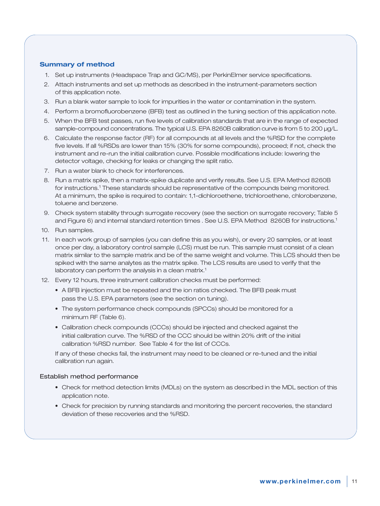#### **Summary of method**

- 1. Set up instruments (Headspace Trap and GC/MS), per PerkinElmer service specifications.
- 2. Attach instruments and set up methods as described in the instrument-parameters section of this application note.
- 3. Run a blank water sample to look for impurities in the water or contamination in the system.
- 4. Perform a bromofluorobenzene (BFB) test as outlined in the tuning section of this application note.
- 5. When the BFB test passes, run five levels of calibration standards that are in the range of expected sample-compound concentrations. The typical U.S. EPA 8260B calibration curve is from 5 to 200 µg/L.
- 6. Calculate the response factor (RF) for all compounds at all levels and the %RSD for the complete five levels. If all %RSDs are lower than 15% (30% for some compounds), proceed; if not, check the instrument and re-run the initial calibration curve. Possible modifications include: lowering the detector voltage, checking for leaks or changing the split ratio.
- 7. Run a water blank to check for interferences.
- 8. Run a matrix spike, then a matrix-spike duplicate and verify results. See U.S. EPA Method 8260B for instructions.<sup>1</sup> These standards should be representative of the compounds being monitored. At a minimum, the spike is required to contain: 1,1-dichloroethene, trichloroethene, chlorobenzene, toluene and benzene.
- 9. Check system stability through surrogate recovery (see the section on surrogate recovery; Table 5 and Figure 6) and internal standard retention times . See U.S. EPA Method 8260B for instructions.1
- 10. Run samples.
- 11. In each work group of samples (you can define this as you wish), or every 20 samples, or at least once per day, a laboratory control sample (LCS) must be run. This sample must consist of a clean matrix similar to the sample matrix and be of the same weight and volume. This LCS should then be spiked with the same analytes as the matrix spike. The LCS results are used to verify that the laboratory can perform the analysis in a clean matrix.<sup>1</sup>
- 12. Every 12 hours, three instrument calibration checks must be performed:
	- A BFB injection must be repeated and the ion ratios checked. The BFB peak must pass the U.S. EPA parameters (see the section on tuning).
	- The system performance check compounds (SPCCs) should be monitored for a minimum RF (Table 6).
	- Calibration check compounds (CCCs) should be injected and checked against the initial calibration curve. The %RSD of the CCC should be within 20% drift of the initial calibration %RSD number. See Table 4 for the list of CCCs.

If any of these checks fail, the instrument may need to be cleaned or re-tuned and the initial calibration run again.

#### Establish method performance

- Check for method detection limits (MDLs) on the system as described in the MDL section of this application note.
- Check for precision by running standards and monitoring the percent recoveries, the standard deviation of these recoveries and the %RSD.